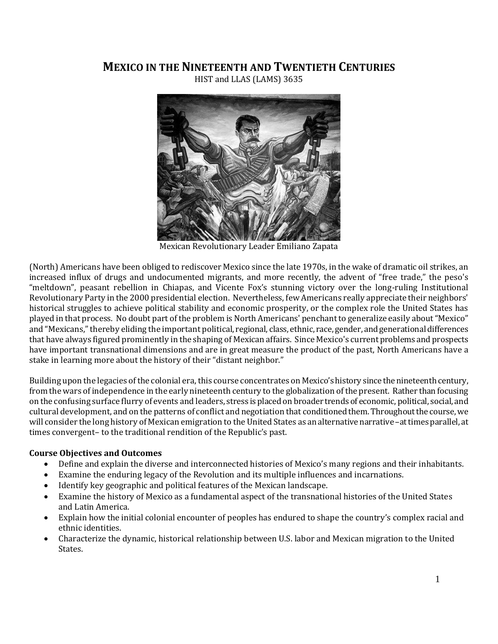### **MEXICO IN THE NINETEENTH AND TWENTIETH CENTURIES**

HIST and LLAS (LAMS) 3635



Mexican Revolutionary Leader Emiliano Zapata

(North) Americans have been obliged to rediscover Mexico since the late 1970s, in the wake of dramatic oil strikes, an increased influx of drugs and undocumented migrants, and more recently, the advent of "free trade," the peso's "meltdown", peasant rebellion in Chiapas, and Vicente Fox's stunning victory over the long-ruling Institutional Revolutionary Party in the 2000 presidential election. Nevertheless, few Americans really appreciate their neighbors' historical struggles to achieve political stability and economic prosperity, or the complex role the United States has played in that process. No doubt part of the problem is North Americans' penchant to generalize easily about "Mexico" and "Mexicans," thereby eliding the important political, regional, class, ethnic, race, gender, and generational differences that have always figured prominently in the shaping of Mexican affairs. Since Mexico's current problems and prospects have important transnational dimensions and are in great measure the product of the past, North Americans have a stake in learning more about the history of their "distant neighbor."

Building upon the legacies of the colonial era, this course concentrates on Mexico's history since the nineteenth century, from the wars of independence in the early nineteenth century to the globalization of the present. Rather than focusing on the confusing surface flurry of events and leaders, stress is placed on broader trends of economic, political, social, and cultural development, and on the patterns of conflict and negotiation that conditioned them. Throughout the course,we will consider the long history of Mexican emigration to the United States as an alternative narrative –at times parallel, at times convergent– to the traditional rendition of the Republic's past.

#### **Course Objectives and Outcomes**

- Define and explain the diverse and interconnected histories of Mexico's many regions and their inhabitants.
- Examine the enduring legacy of the Revolution and its multiple influences and incarnations.
- Identify key geographic and political features of the Mexican landscape.
- Examine the history of Mexico as a fundamental aspect of the transnational histories of the United States and Latin America.
- Explain how the initial colonial encounter of peoples has endured to shape the country's complex racial and ethnic identities.
- Characterize the dynamic, historical relationship between U.S. labor and Mexican migration to the United States.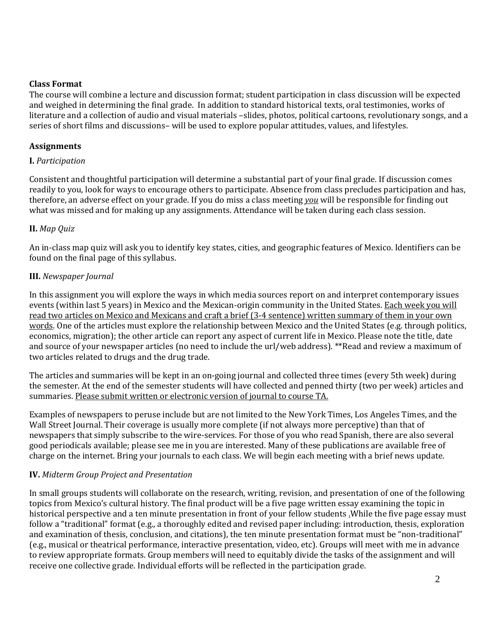#### **Class Format**

The course will combine a lecture and discussion format; student participation in class discussion will be expected and weighed in determining the final grade. In addition to standard historical texts, oral testimonies, works of literature and a collection of audio and visual materials –slides, photos, political cartoons, revolutionary songs, and a series of short films and discussions– will be used to explore popular attitudes, values, and lifestyles.

#### **Assignments**

#### **I.** *Participation*

Consistent and thoughtful participation will determine a substantial part of your final grade. If discussion comes readily to you, look for ways to encourage others to participate. Absence from class precludes participation and has, therefore, an adverse effect on your grade. If you do miss a class meeting *you* will be responsible for finding out what was missed and for making up any assignments. Attendance will be taken during each class session.

#### **II.** *Map Quiz*

An in-class map quiz will ask you to identify key states, cities, and geographic features of Mexico. Identifiers can be found on the final page of this syllabus.

#### **III.** *Newspaper Journal*

In this assignment you will explore the ways in which media sources report on and interpret contemporary issues events (within last 5 years) in Mexico and the Mexican-origin community in the United States. Each week you will read two articles on Mexico and Mexicans and craft a brief (3-4 sentence) written summary of them in your own words. One of the articles must explore the relationship between Mexico and the United States (e.g. through politics, economics, migration); the other article can report any aspect of current life in Mexico. Please note the title, date and source of your newspaper articles (no need to include the url/web address). \*\*Read and review a maximum of two articles related to drugs and the drug trade.

The articles and summaries will be kept in an on-going journal and collected three times (every 5th week) during the semester. At the end of the semester students will have collected and penned thirty (two per week) articles and summaries. Please submit written or electronic version of journal to course TA.

Examples of newspapers to peruse include but are not limited to the New York Times, Los Angeles Times, and the Wall Street Journal. Their coverage is usually more complete (if not always more perceptive) than that of newspapers that simply subscribe to the wire-services. For those of you who read Spanish, there are also several good periodicals available; please see me in you are interested. Many of these publications are available free of charge on the internet. Bring your journals to each class. We will begin each meeting with a brief news update.

#### **IV.** *Midterm Group Project and Presentation*

In small groups students will collaborate on the research, writing, revision, and presentation of one of the following topics from Mexico's cultural history. The final product will be a five page written essay examining the topic in historical perspective and a ten minute presentation in front of your fellow students .While the five page essay must follow a "traditional" format (e.g., a thoroughly edited and revised paper including: introduction, thesis, exploration and examination of thesis, conclusion, and citations), the ten minute presentation format must be "non-traditional" (e.g., musical or theatrical performance, interactive presentation, video, etc). Groups will meet with me in advance to review appropriate formats. Group members will need to equitably divide the tasks of the assignment and will receive one collective grade. Individual efforts will be reflected in the participation grade.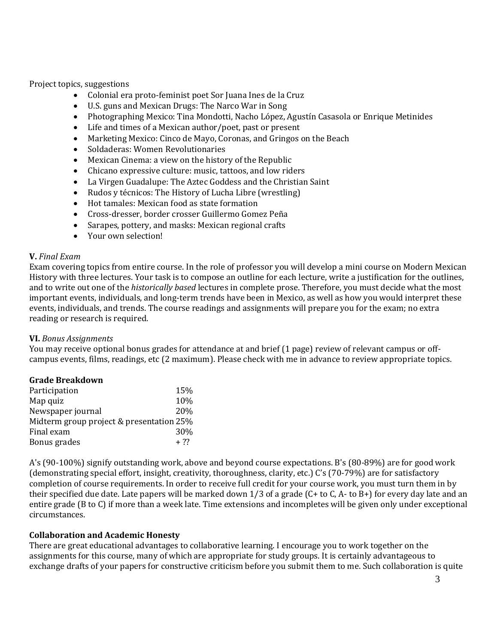Project topics, suggestions

- Colonial era proto-feminist poet Sor Juana Ines de la Cruz
- U.S. guns and Mexican Drugs: The Narco War in Song
- Photographing Mexico: Tina Mondotti, Nacho López, Agustín Casasola or Enrique Metinides
- Life and times of a Mexican author/poet, past or present
- Marketing Mexico: Cinco de Mayo, Coronas, and Gringos on the Beach
- Soldaderas: Women Revolutionaries
- Mexican Cinema: a view on the history of the Republic
- Chicano expressive culture: music, tattoos, and low riders
- La Virgen Guadalupe: The Aztec Goddess and the Christian Saint
- Rudos y técnicos: The History of Lucha Libre (wrestling)
- Hot tamales: Mexican food as state formation
- Cross-dresser, border crosser Guillermo Gomez Peña
- Sarapes, pottery, and masks: Mexican regional crafts
- Your own selection!

#### **V.** *Final Exam*

Exam covering topics from entire course. In the role of professor you will develop a mini course on Modern Mexican History with three lectures. Your task is to compose an outline for each lecture, write a justification for the outlines, and to write out one of the *historically based* lectures in complete prose. Therefore, you must decide what the most important events, individuals, and long-term trends have been in Mexico, as well as how you would interpret these events, individuals, and trends. The course readings and assignments will prepare you for the exam; no extra reading or research is required.

#### **VI.** *Bonus Assignments*

You may receive optional bonus grades for attendance at and brief (1 page) review of relevant campus or offcampus events, films, readings, etc (2 maximum). Please check with me in advance to review appropriate topics.

| <b>Grade Breakdown</b>                   |        |
|------------------------------------------|--------|
| Participation                            | 15%    |
| Map quiz                                 | 10%    |
| Newspaper journal                        | 20%    |
| Midterm group project & presentation 25% |        |
| Final exam                               | 30%    |
| Bonus grades                             | $+ 22$ |

A's (90-100%) signify outstanding work, above and beyond course expectations. B's (80-89%) are for good work (demonstrating special effort, insight, creativity, thoroughness, clarity, etc.) C's (70-79%) are for satisfactory completion of course requirements. In order to receive full credit for your course work, you must turn them in by their specified due date. Late papers will be marked down 1/3 of a grade (C+ to C, A- to B+) for every day late and an entire grade (B to C) if more than a week late. Time extensions and incompletes will be given only under exceptional circumstances.

#### **Collaboration and Academic Honesty**

There are great educational advantages to collaborative learning. I encourage you to work together on the assignments for this course, many of which are appropriate for study groups. It is certainly advantageous to exchange drafts of your papers for constructive criticism before you submit them to me. Such collaboration is quite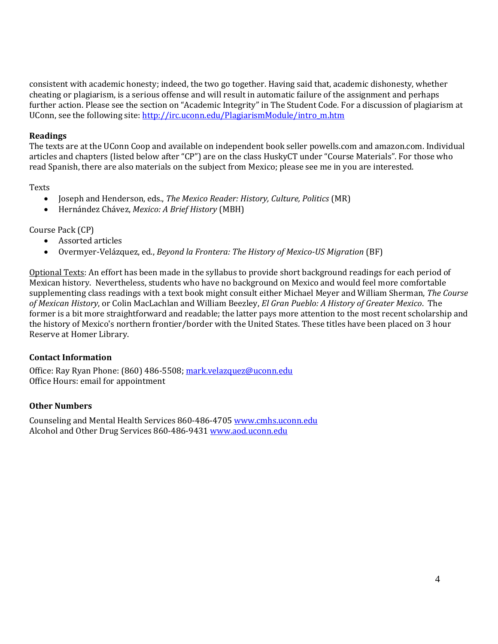consistent with academic honesty; indeed, the two go together. Having said that, academic dishonesty, whether cheating or plagiarism, is a serious offense and will result in automatic failure of the assignment and perhaps further action. Please see the section on "Academic Integrity" in The Student Code. For a discussion of plagiarism at UConn, see the following site: [http://irc.uconn.edu/PlagiarismModule/intro\\_m.htm](http://irc.uconn.edu/PlagiarismModule/intro_m.htm)

#### **Readings**

The texts are at the UConn Coop and available on independent book seller powells.com and amazon.com. Individual articles and chapters (listed below after "CP") are on the class HuskyCT under "Course Materials". For those who read Spanish, there are also materials on the subject from Mexico; please see me in you are interested.

Texts

- Joseph and Henderson, eds., *The Mexico Reader: History, Culture, Politics* (MR)
- Hernández Chávez, *Mexico: A Brief History* (MBH)

Course Pack (CP)

- Assorted articles
- Overmyer-Velázquez, ed., *Beyond la Frontera: The History of Mexico-US Migration* (BF)

Optional Texts: An effort has been made in the syllabus to provide short background readings for each period of Mexican history. Nevertheless, students who have no background on Mexico and would feel more comfortable supplementing class readings with a text book might consult either Michael Meyer and William Sherman, *The Course of Mexican History*, or Colin MacLachlan and William Beezley, *El Gran Pueblo: A History of Greater Mexico*. The former is a bit more straightforward and readable; the latter pays more attention to the most recent scholarship and the history of Mexico's northern frontier/border with the United States. These titles have been placed on 3 hour Reserve at Homer Library.

#### **Contact Information**

Office: Ray Ryan Phone: (860) 486-5508[; mark.velazquez@uconn.edu](mailto:mark.velazquez@uconn.edu)  Office Hours: email for appointment

#### **Other Numbers**

Counseling and Mental Health Services 860-486-4705 [www.cmhs.uconn.edu](javascript:doWindowOpen() Alcohol and Other Drug Services 860-486-943[1 www.aod.uconn.edu](javascript:doWindowOpen()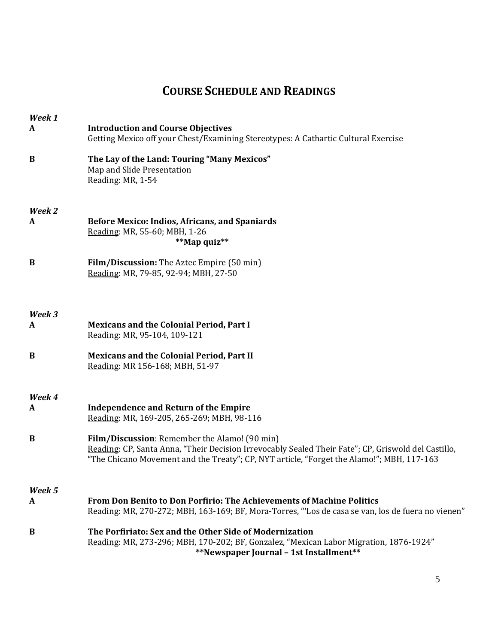## **COURSE SCHEDULE AND READINGS**

| Week 1   |                                                                                                                                                                                                                                                   |
|----------|---------------------------------------------------------------------------------------------------------------------------------------------------------------------------------------------------------------------------------------------------|
| A        | <b>Introduction and Course Objectives</b><br>Getting Mexico off your Chest/Examining Stereotypes: A Cathartic Cultural Exercise                                                                                                                   |
| $\bf{B}$ | The Lay of the Land: Touring "Many Mexicos"<br>Map and Slide Presentation<br>Reading: MR, 1-54                                                                                                                                                    |
| Week 2   |                                                                                                                                                                                                                                                   |
| A        | <b>Before Mexico: Indios, Africans, and Spaniards</b><br>Reading: MR, 55-60; MBH, 1-26<br>**Map quiz**                                                                                                                                            |
| $\bf{B}$ | Film/Discussion: The Aztec Empire (50 min)<br>Reading: MR, 79-85, 92-94; MBH, 27-50                                                                                                                                                               |
| Week 3   |                                                                                                                                                                                                                                                   |
| A        | <b>Mexicans and the Colonial Period, Part I</b><br>Reading: MR, 95-104, 109-121                                                                                                                                                                   |
| B        | <b>Mexicans and the Colonial Period, Part II</b><br>Reading: MR 156-168; MBH, 51-97                                                                                                                                                               |
| Week 4   |                                                                                                                                                                                                                                                   |
| A        | <b>Independence and Return of the Empire</b><br>Reading: MR, 169-205, 265-269; MBH, 98-116                                                                                                                                                        |
| $\bf{B}$ | Film/Discussion: Remember the Alamo! (90 min)<br>Reading: CP, Santa Anna, "Their Decision Irrevocably Sealed Their Fate"; CP, Griswold del Castillo,<br>"The Chicano Movement and the Treaty"; CP, NYT article, "Forget the Alamo!"; MBH, 117-163 |
| Week 5   |                                                                                                                                                                                                                                                   |
| A        | <b>From Don Benito to Don Porfirio: The Achievements of Machine Politics</b><br>Reading: MR, 270-272; MBH, 163-169; BF, Mora-Torres, "'Los de casa se van, los de fuera no vienen"                                                                |
| B        | The Porfiriato: Sex and the Other Side of Modernization<br>Reading: MR, 273-296; MBH, 170-202; BF, Gonzalez, "Mexican Labor Migration, 1876-1924"<br>**Newspaper Journal - 1st Installment**                                                      |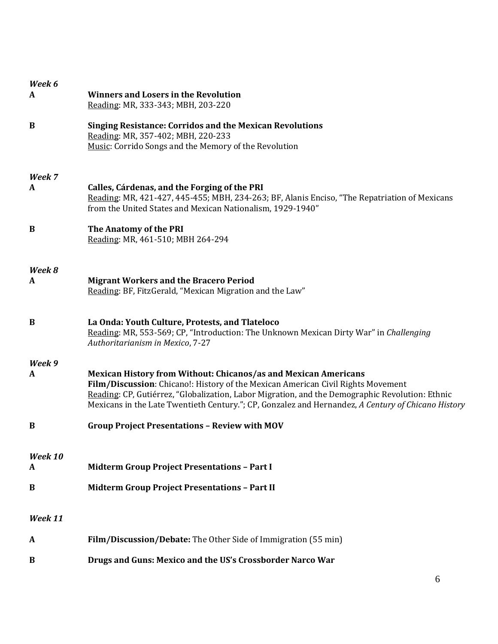| Week 6       |                                                                                                                                                                                                                                                                                                                                                                     |
|--------------|---------------------------------------------------------------------------------------------------------------------------------------------------------------------------------------------------------------------------------------------------------------------------------------------------------------------------------------------------------------------|
| A            | <b>Winners and Losers in the Revolution</b><br>Reading: MR, 333-343; MBH, 203-220                                                                                                                                                                                                                                                                                   |
| B            | <b>Singing Resistance: Corridos and the Mexican Revolutions</b><br>Reading: MR, 357-402; MBH, 220-233<br>Music: Corrido Songs and the Memory of the Revolution                                                                                                                                                                                                      |
| Week 7       |                                                                                                                                                                                                                                                                                                                                                                     |
| A            | Calles, Cárdenas, and the Forging of the PRI<br>Reading: MR, 421-427, 445-455; MBH, 234-263; BF, Alanis Enciso, "The Repatriation of Mexicans<br>from the United States and Mexican Nationalism, 1929-1940"                                                                                                                                                         |
| B            | The Anatomy of the PRI<br>Reading: MR, 461-510; MBH 264-294                                                                                                                                                                                                                                                                                                         |
| Week 8       |                                                                                                                                                                                                                                                                                                                                                                     |
| A            | <b>Migrant Workers and the Bracero Period</b><br>Reading: BF, FitzGerald, "Mexican Migration and the Law"                                                                                                                                                                                                                                                           |
| B            | La Onda: Youth Culture, Protests, and Tlateloco<br>Reading: MR, 553-569; CP, "Introduction: The Unknown Mexican Dirty War" in Challenging<br>Authoritarianism in Mexico, 7-27                                                                                                                                                                                       |
| Week 9<br>A  | <b>Mexican History from Without: Chicanos/as and Mexican Americans</b><br>Film/Discussion: Chicano!: History of the Mexican American Civil Rights Movement<br>Reading: CP, Gutiérrez, "Globalization, Labor Migration, and the Demographic Revolution: Ethnic<br>Mexicans in the Late Twentieth Century."; CP, Gonzalez and Hernandez, A Century of Chicano History |
| B            | <b>Group Project Presentations - Review with MOV</b>                                                                                                                                                                                                                                                                                                                |
| Week 10<br>A | <b>Midterm Group Project Presentations - Part I</b>                                                                                                                                                                                                                                                                                                                 |
| B            | <b>Midterm Group Project Presentations - Part II</b>                                                                                                                                                                                                                                                                                                                |
| Week 11      |                                                                                                                                                                                                                                                                                                                                                                     |
| A            | Film/Discussion/Debate: The Other Side of Immigration (55 min)                                                                                                                                                                                                                                                                                                      |
| $\bf{B}$     | Drugs and Guns: Mexico and the US's Crossborder Narco War                                                                                                                                                                                                                                                                                                           |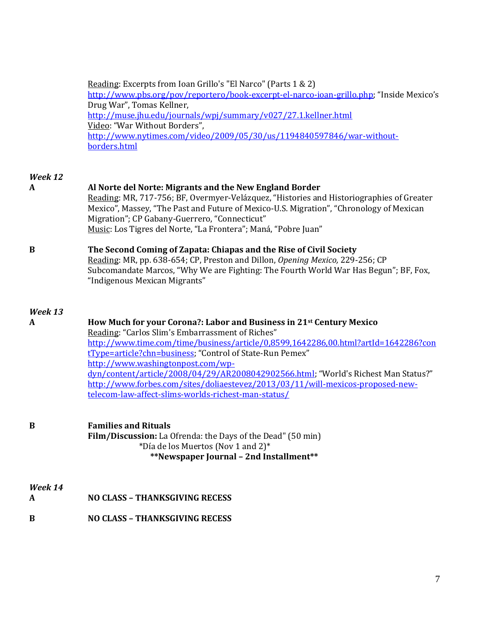| Reading: Excerpts from Ioan Grillo's "El Narco" (Parts 1 & 2)                            |
|------------------------------------------------------------------------------------------|
| http://www.pbs.org/pov/reportero/book-excerpt-el-narco-ioan-grillo.php; "Inside Mexico's |
| Drug War", Tomas Kellner,                                                                |
| http://muse.jhu.edu/journals/wpj/summary/v027/27.1.kellner.html                          |
| Video: "War Without Borders",                                                            |
| http://www.nytimes.com/video/2009/05/30/us/1194840597846/war-without-                    |
| borders.html                                                                             |

### *Week 12*

| week 12      |                                                                                                                                                                                                                                                                                                                                                                                                                                                                                                                                                            |
|--------------|------------------------------------------------------------------------------------------------------------------------------------------------------------------------------------------------------------------------------------------------------------------------------------------------------------------------------------------------------------------------------------------------------------------------------------------------------------------------------------------------------------------------------------------------------------|
| A            | Al Norte del Norte: Migrants and the New England Border<br>Reading: MR, 717-756; BF, Overmyer-Velázquez, "Histories and Historiographies of Greater<br>Mexico", Massey, "The Past and Future of Mexico-U.S. Migration", "Chronology of Mexican<br>Migration"; CP Gabany-Guerrero, "Connecticut"<br>Music: Los Tigres del Norte, "La Frontera"; Maná, "Pobre Juan"                                                                                                                                                                                          |
| B            | The Second Coming of Zapata: Chiapas and the Rise of Civil Society<br>Reading: MR, pp. 638-654; CP, Preston and Dillon, Opening Mexico, 229-256; CP<br>Subcomandate Marcos, "Why We are Fighting: The Fourth World War Has Begun"; BF, Fox,<br>"Indigenous Mexican Migrants"                                                                                                                                                                                                                                                                               |
| Week 13<br>A | How Much for your Corona?: Labor and Business in 21 <sup>st</sup> Century Mexico<br>Reading: "Carlos Slim's Embarrassment of Riches"<br>http://www.time.com/time/business/article/0,8599,1642286,00.html?artId=1642286?con<br>tType=article?chn=business; "Control of State-Run Pemex"<br>http://www.washingtonpost.com/wp-<br>dyn/content/article/2008/04/29/AR2008042902566.html; "World's Richest Man Status?"<br>http://www.forbes.com/sites/doliaestevez/2013/03/11/will-mexicos-proposed-new-<br>telecom-law-affect-slims-worlds-richest-man-status/ |
| B            | <b>Families and Rituals</b><br>Film/Discussion: La Ofrenda: the Days of the Dead" (50 min)<br>*Día de los Muertos (Nov 1 and 2)*<br>**Newspaper Journal - 2nd Installment**                                                                                                                                                                                                                                                                                                                                                                                |

# *Week 14*

- **A NO CLASS – THANKSGIVING RECESS**
- **B NO CLASS – THANKSGIVING RECESS**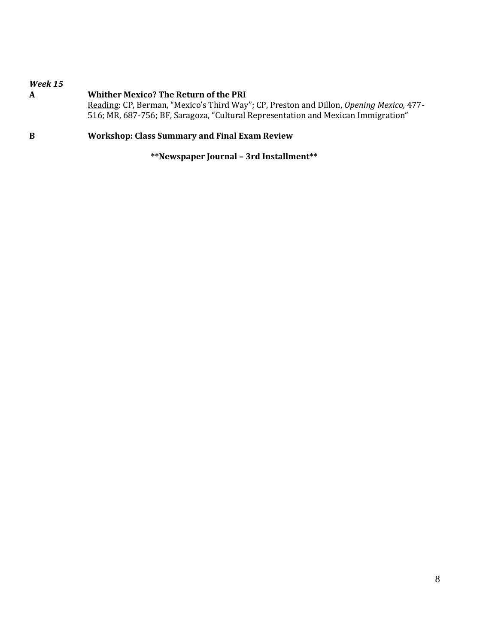| Week 15<br>A | <b>Whither Mexico? The Return of the PRI</b><br>Reading: CP, Berman, "Mexico's Third Way"; CP, Preston and Dillon, Opening Mexico, 477-<br>516; MR, 687-756; BF, Saragoza, "Cultural Representation and Mexican Immigration" |
|--------------|------------------------------------------------------------------------------------------------------------------------------------------------------------------------------------------------------------------------------|
| B            | <b>Workshop: Class Summary and Final Exam Review</b>                                                                                                                                                                         |

**\*\*Newspaper Journal – 3rd Installment\*\***